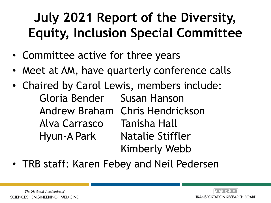## **July 2021 Report of the Diversity, Equity, Inclusion Special Committee**

- Committee active for three years
- Meet at AM, have quarterly conference calls
- Chaired by Carol Lewis, members include: Gloria Bender Susan Hanson Andrew Braham Chris Hendrickson Alva Carrasco Tanisha Hall Hyun-A Park Natalie Stiffler Kimberly Webb
- TRB staff: Karen Febey and Neil Pedersen

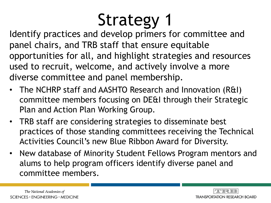# Strategy 1

Identify practices and develop primers for committee and panel chairs, and TRB staff that ensure equitable opportunities for all, and highlight strategies and resources used to recruit, welcome, and actively involve a more diverse committee and panel membership.

- The NCHRP staff and AASHTO Research and Innovation (R&I) committee members focusing on DE&I through their Strategic Plan and Action Plan Working Group.
- TRB staff are considering strategies to disseminate best practices of those standing committees receiving the Technical Activities Council's new Blue Ribbon Award for Diversity.
- New database of Minority Student Fellows Program mentors and alums to help program officers identify diverse panel and committee members.

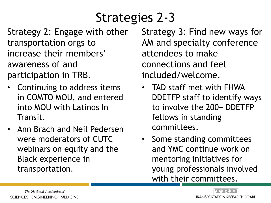## Strategies 2-3

Strategy 2: Engage with other transportation orgs to increase their members' awareness of and participation in TRB.

- Continuing to address items in COMTO MOU, and entered into MOU with Latinos In Transit.
- Ann Brach and Neil Pedersen were moderators of CUTC webinars on equity and the Black experience in transportation.

Strategy 3: Find new ways for AM and specialty conference attendees to make connections and feel included/welcome.

- TAD staff met with FHWA DDETFP staff to identify ways to involve the 200+ DDETFP fellows in standing committees.
- Some standing committees and YMC continue work on mentoring initiatives for young professionals involved with their committees.

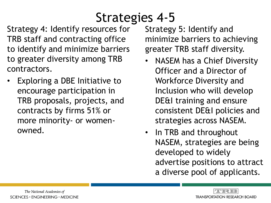#### Strategies 4-5

Strategy 4: Identify resources for TRB staff and contracting office to identify and minimize barriers to greater diversity among TRB contractors.

• Exploring a DBE Initiative to encourage participation in TRB proposals, projects, and contracts by firms 51% or more minority- or womenowned.

Strategy 5: Identify and minimize barriers to achieving greater TRB staff diversity.

- NASEM has a Chief Diversity Officer and a Director of Workforce Diversity and Inclusion who will develop DE&I training and ensure consistent DE&I policies and strategies across NASEM.
- In TRB and throughout NASEM, strategies are being developed to widely advertise positions to attract a diverse pool of applicants.

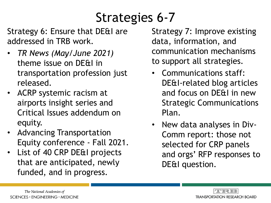## Strategies 6-7

Strategy 6: Ensure that DE&I are addressed in TRB work.

- *TR News (May/June 2021)*  theme issue on DE&I in transportation profession just released.
- ACRP systemic racism at airports insight series and Critical Issues addendum on equity.
- Advancing Transportation Equity conference - Fall 2021.
- List of 40 CRP DE&I projects that are anticipated, newly funded, and in progress.

Strategy 7: Improve existing data, information, and communication mechanisms to support all strategies.

- Communications staff: DE&I-related blog articles and focus on DE&I in new Strategic Communications Plan.
- New data analyses in Div-Comm report: those not selected for CRP panels and orgs' RFP responses to DE&I question.